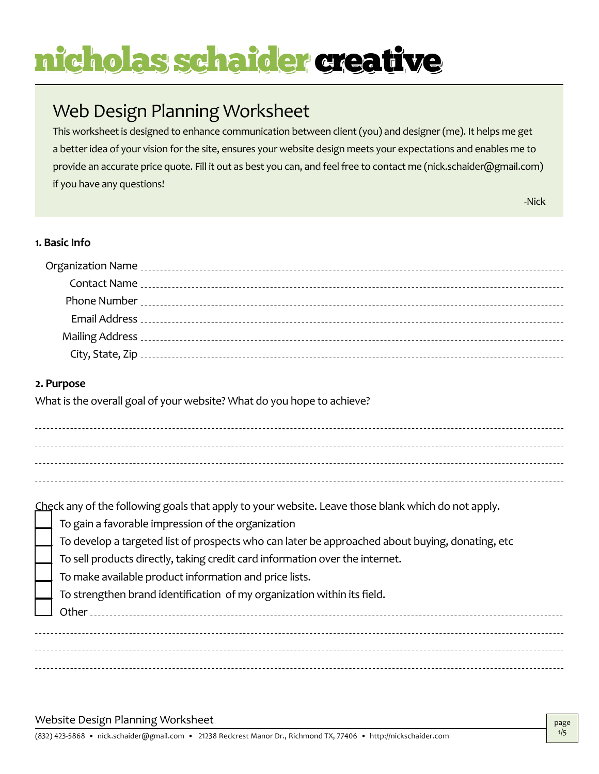## Web Design Planning Worksheet

This worksheet is designed to enhance communication between client (you) and designer (me). It helps me get a better idea of your vision for the site, ensures your website design meets your expectations and enables me to provide an accurate price quote. Fill it out as best you can, and feel free to contact me (nick.schaider@gmail.com) if you have any questions!

-Nick

### **1. Basic Info**

|            | Mailing Address [100] Mailing Address [100] Mailing Address contract to the contract of the contract of the contract of the contract of the contract of the contract of the contract of the contract of the contract of the co |
|------------|--------------------------------------------------------------------------------------------------------------------------------------------------------------------------------------------------------------------------------|
|            |                                                                                                                                                                                                                                |
| 2. Purpose |                                                                                                                                                                                                                                |

What is the overall goal of your website? What do you hope to achieve?

| Check any of the following goals that apply to your website. Leave those blank which do not apply. |
|----------------------------------------------------------------------------------------------------|
| To gain a favorable impression of the organization                                                 |
| To develop a targeted list of prospects who can later be approached about buying, donating, etc    |
| To sell products directly, taking credit card information over the internet.                       |
| To make available product information and price lists.                                             |
| To strengthen brand identification of my organization within its field.                            |
| Other                                                                                              |
|                                                                                                    |
|                                                                                                    |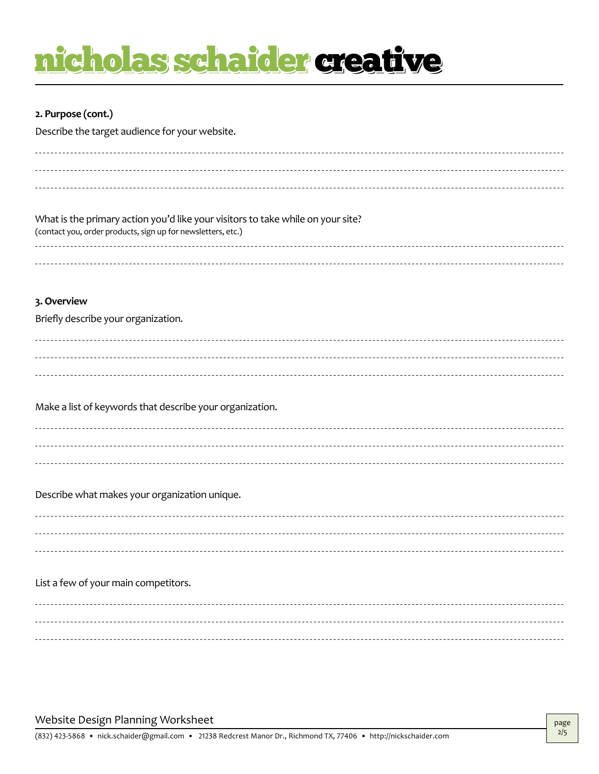### **2. Purpose (cont.)**

Describe the target audience for your website.

| What is the primary action you'd like your visitors to take while on your site?<br>(contact you, order products, sign up for newsletters, etc.) |
|-------------------------------------------------------------------------------------------------------------------------------------------------|
|                                                                                                                                                 |
|                                                                                                                                                 |
| 3. Overview                                                                                                                                     |
| Briefly describe your organization.                                                                                                             |
|                                                                                                                                                 |
|                                                                                                                                                 |
|                                                                                                                                                 |
| Make a list of keywords that describe your organization.                                                                                        |
|                                                                                                                                                 |
|                                                                                                                                                 |
|                                                                                                                                                 |
| Describe what makes your organization unique.                                                                                                   |
|                                                                                                                                                 |
|                                                                                                                                                 |
|                                                                                                                                                 |
| List a few of your main competitors.                                                                                                            |
|                                                                                                                                                 |
|                                                                                                                                                 |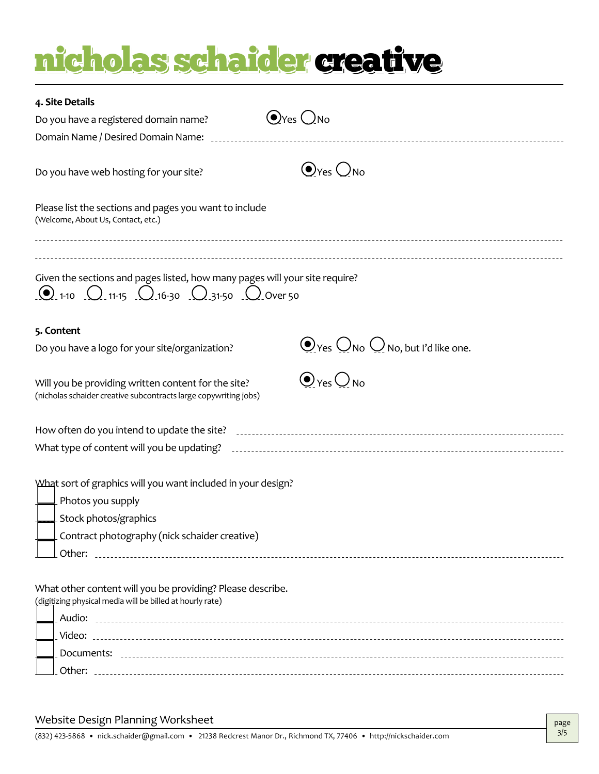| 4. Site Details                                                                                                                                                      |                                                                                                                               |
|----------------------------------------------------------------------------------------------------------------------------------------------------------------------|-------------------------------------------------------------------------------------------------------------------------------|
| Do you have a registered domain name?                                                                                                                                | $\bigcirc$ Yes $\bigcirc$ No                                                                                                  |
| Domain Name / Desired Domain Name: [10] Domain Name:                                                                                                                 |                                                                                                                               |
|                                                                                                                                                                      |                                                                                                                               |
| Do you have web hosting for your site?                                                                                                                               | $\bigodot_{\text{Yes}}\bigcirc_{\text{No}}$                                                                                   |
| Please list the sections and pages you want to include<br>(Welcome, About Us, Contact, etc.)                                                                         |                                                                                                                               |
| Given the sections and pages listed, how many pages will your site require?<br>$\bigcirc$ 1-10 $\bigcirc$ 11-15 $\bigcirc$ 16-30 $\bigcirc$ 31-50 $\bigcirc$ Over 50 |                                                                                                                               |
| 5. Content                                                                                                                                                           |                                                                                                                               |
| Do you have a logo for your site/organization?                                                                                                                       | $\bigodot$ Yes $\bigcirc$ No $\bigcirc$ No, but I'd like one.                                                                 |
| Will you be providing written content for the site?<br>(nicholas schaider creative subcontracts large copywriting jobs)                                              | $\odot$ Yes $\bigcirc$ No                                                                                                     |
|                                                                                                                                                                      |                                                                                                                               |
|                                                                                                                                                                      | What type of content will you be updating? [10] continuous continuous contract to the update of content will you be updating? |
| What sort of graphics will you want included in your design?                                                                                                         |                                                                                                                               |
| $\perp$ Photos you supply                                                                                                                                            |                                                                                                                               |
| Stock photos/graphics                                                                                                                                                |                                                                                                                               |
| Contract photography (nick schaider creative)                                                                                                                        |                                                                                                                               |
| Other:                                                                                                                                                               |                                                                                                                               |
| What other content will you be providing? Please describe.<br>(digitizing physical media will be billed at hourly rate)                                              |                                                                                                                               |
|                                                                                                                                                                      |                                                                                                                               |
|                                                                                                                                                                      |                                                                                                                               |
|                                                                                                                                                                      |                                                                                                                               |
|                                                                                                                                                                      |                                                                                                                               |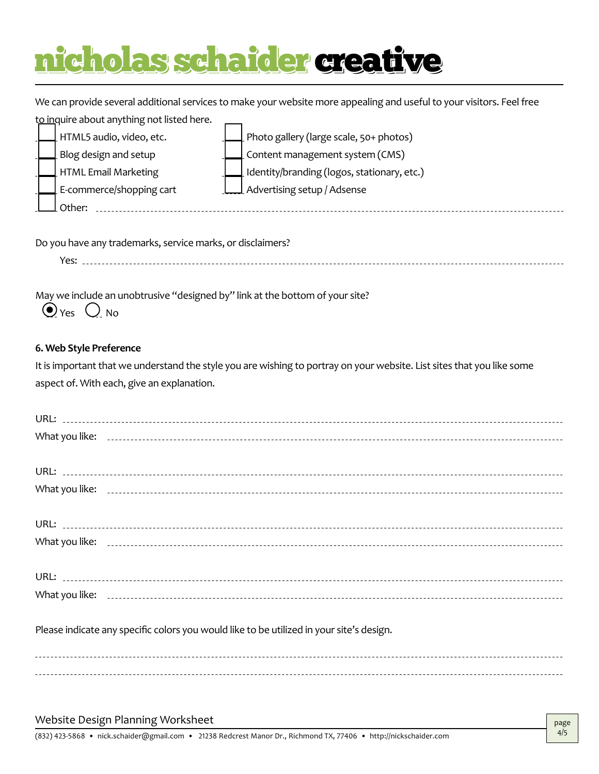We can provide several additional services to make your website more appealing and useful to your visitors. Feel free

to inquire about anything not listed here.  $\overline{\phantom{0}}$ 

| HTML5 audio, video, etc. |                          | Photo gallery (large scale, 50+ photos)             |
|--------------------------|--------------------------|-----------------------------------------------------|
|                          | Blog design and setup    | Content management system (CMS)                     |
|                          | HTML Email Marketing     | $\perp$ Identity/branding (logos, stationary, etc.) |
|                          | E-commerce/shopping cart | L Advertising setup / Adsense                       |
|                          | Other:                   |                                                     |

Do you have any trademarks, service marks, or disclaimers?

Yes: <u>...............................</u>....

May we include an unobtrusive "designed by" link at the bottom of your site?

 $\odot$  Yes  $\bigcirc$  No

### **6. Web Style Preference**

It is important that we understand the style you are wishing to portray on your website. List sites that you like some aspect of. With each, give an explanation.

| Please indicate any specific colors you would like to be utilized in your site's design. |
|------------------------------------------------------------------------------------------|